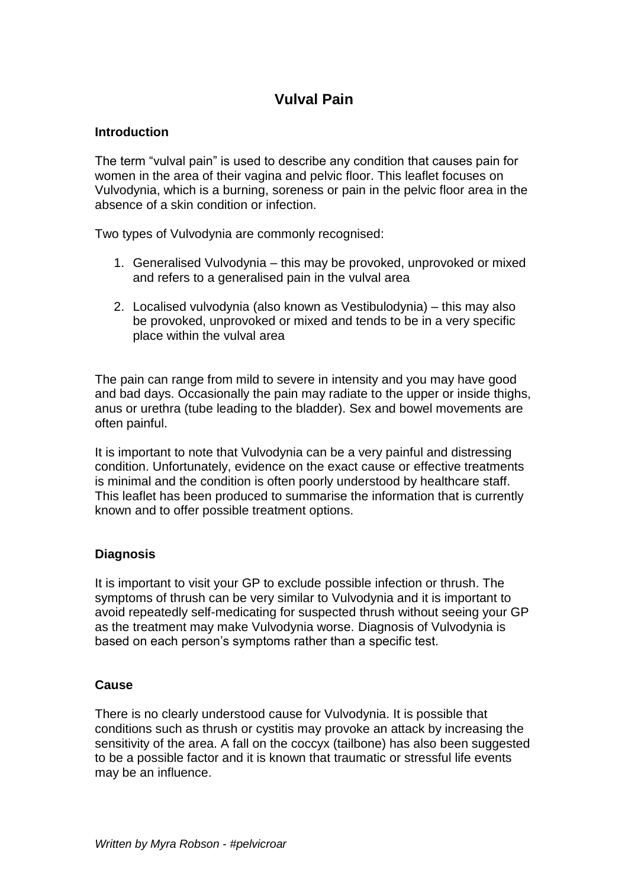# **Vulval Pain**

## **Introduction**

The term "vulval pain" is used to describe any condition that causes pain for women in the area of their vagina and pelvic floor. This leaflet focuses on Vulvodynia, which is a burning, soreness or pain in the pelvic floor area in the absence of a skin condition or infection.

Two types of Vulvodynia are commonly recognised:

- 1. Generalised Vulvodynia this may be provoked, unprovoked or mixed and refers to a generalised pain in the vulval area
- 2. Localised vulvodynia (also known as Vestibulodynia) this may also be provoked, unprovoked or mixed and tends to be in a very specific place within the vulval area

The pain can range from mild to severe in intensity and you may have good and bad days. Occasionally the pain may radiate to the upper or inside thighs, anus or urethra (tube leading to the bladder). Sex and bowel movements are often painful.

It is important to note that Vulvodynia can be a very painful and distressing condition. Unfortunately, evidence on the exact cause or effective treatments is minimal and the condition is often poorly understood by healthcare staff. This leaflet has been produced to summarise the information that is currently known and to offer possible treatment options.

# **Diagnosis**

It is important to visit your GP to exclude possible infection or thrush. The symptoms of thrush can be very similar to Vulvodynia and it is important to avoid repeatedly self-medicating for suspected thrush without seeing your GP as the treatment may make Vulvodynia worse. Diagnosis of Vulvodynia is based on each person's symptoms rather than a specific test.

#### **Cause**

There is no clearly understood cause for Vulvodynia. It is possible that conditions such as thrush or cystitis may provoke an attack by increasing the sensitivity of the area. A fall on the coccyx (tailbone) has also been suggested to be a possible factor and it is known that traumatic or stressful life events may be an influence.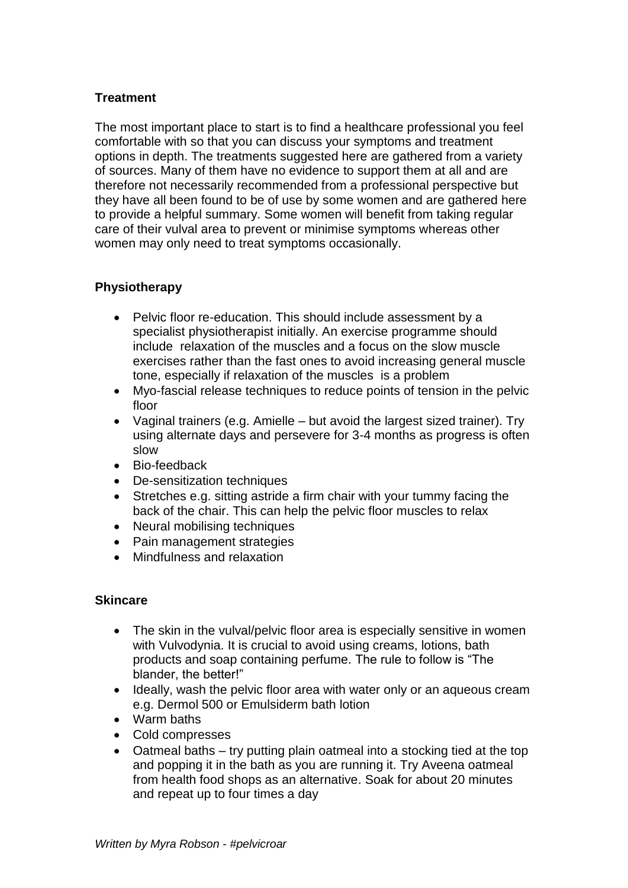# **Treatment**

The most important place to start is to find a healthcare professional you feel comfortable with so that you can discuss your symptoms and treatment options in depth. The treatments suggested here are gathered from a variety of sources. Many of them have no evidence to support them at all and are therefore not necessarily recommended from a professional perspective but they have all been found to be of use by some women and are gathered here to provide a helpful summary. Some women will benefit from taking regular care of their vulval area to prevent or minimise symptoms whereas other women may only need to treat symptoms occasionally.

## **Physiotherapy**

- Pelvic floor re-education. This should include assessment by a specialist physiotherapist initially. An exercise programme should include relaxation of the muscles and a focus on the slow muscle exercises rather than the fast ones to avoid increasing general muscle tone, especially if relaxation of the muscles is a problem
- Myo-fascial release techniques to reduce points of tension in the pelvic floor
- Vaginal trainers (e.g. Amielle but avoid the largest sized trainer). Try using alternate days and persevere for 3-4 months as progress is often slow
- Bio-feedback
- De-sensitization techniques
- Stretches e.g. sitting astride a firm chair with your tummy facing the back of the chair. This can help the pelvic floor muscles to relax
- Neural mobilising techniques
- Pain management strategies
- Mindfulness and relaxation

#### **Skincare**

- The skin in the vulval/pelvic floor area is especially sensitive in women with Vulvodynia. It is crucial to avoid using creams, lotions, bath products and soap containing perfume. The rule to follow is "The blander, the better!"
- Ideally, wash the pelvic floor area with water only or an aqueous cream e.g. Dermol 500 or Emulsiderm bath lotion
- Warm baths
- Cold compresses
- Oatmeal baths try putting plain oatmeal into a stocking tied at the top and popping it in the bath as you are running it. Try Aveena oatmeal from health food shops as an alternative. Soak for about 20 minutes and repeat up to four times a day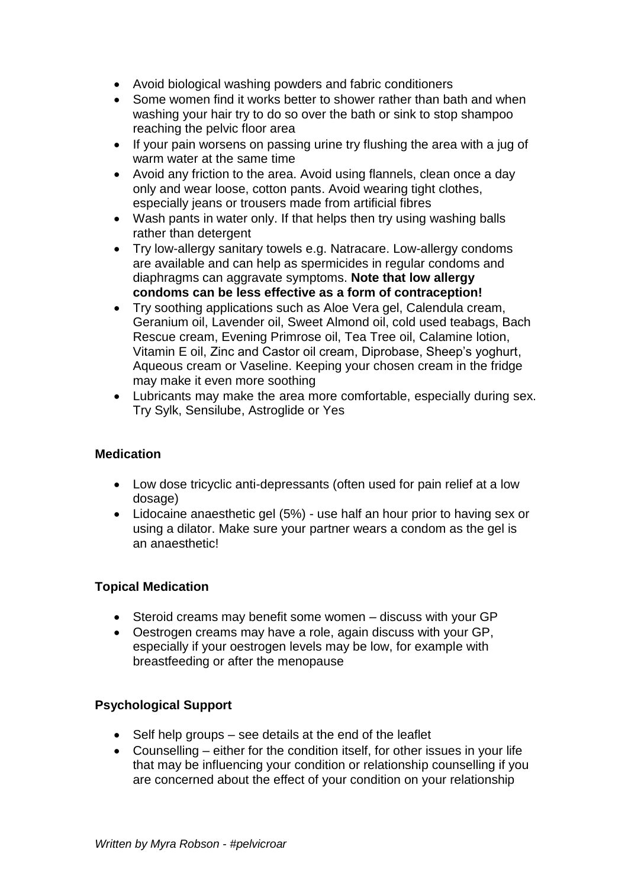- Avoid biological washing powders and fabric conditioners
- Some women find it works better to shower rather than bath and when washing your hair try to do so over the bath or sink to stop shampoo reaching the pelvic floor area
- If your pain worsens on passing urine try flushing the area with a jug of warm water at the same time
- Avoid any friction to the area. Avoid using flannels, clean once a day only and wear loose, cotton pants. Avoid wearing tight clothes, especially jeans or trousers made from artificial fibres
- Wash pants in water only. If that helps then try using washing balls rather than detergent
- Try low-allergy sanitary towels e.g. Natracare. Low-allergy condoms are available and can help as spermicides in regular condoms and diaphragms can aggravate symptoms. **Note that low allergy condoms can be less effective as a form of contraception!**
- Try soothing applications such as Aloe Vera gel, Calendula cream, Geranium oil, Lavender oil, Sweet Almond oil, cold used teabags, Bach Rescue cream, Evening Primrose oil, Tea Tree oil, Calamine lotion, Vitamin E oil, Zinc and Castor oil cream, Diprobase, Sheep's yoghurt, Aqueous cream or Vaseline. Keeping your chosen cream in the fridge may make it even more soothing
- Lubricants may make the area more comfortable, especially during sex. Try Sylk, Sensilube, Astroglide or Yes

# **Medication**

- Low dose tricyclic anti-depressants (often used for pain relief at a low dosage)
- Lidocaine anaesthetic gel (5%) use half an hour prior to having sex or using a dilator. Make sure your partner wears a condom as the gel is an anaesthetic!

#### **Topical Medication**

- Steroid creams may benefit some women discuss with your GP
- Oestrogen creams may have a role, again discuss with your GP, especially if your oestrogen levels may be low, for example with breastfeeding or after the menopause

# **Psychological Support**

- Self help groups see details at the end of the leaflet
- Counselling either for the condition itself, for other issues in your life that may be influencing your condition or relationship counselling if you are concerned about the effect of your condition on your relationship